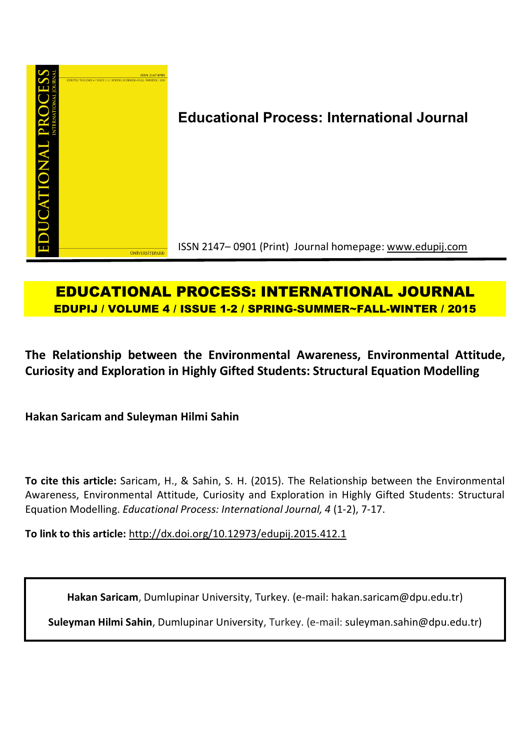

# **Educational Process: International Journal**

ISSN 2147– 0901 (Print) Journal homepage: www.edupij.com

## **EDUCATIONAL PROCESS: INTERNATIONAL JOURNAL EDUPIJ / VOLUME 4 / ISSUE 1-2 / SPRING-SUMMER~FALL-WINTER / 2015**

**The Relationship between the Environmental Awareness, Environmental Attitude, Curiosity and Exploration in Highly Gifted Students: Structural Equation Modelling**

**Hakan Saricam and Suleyman Hilmi Sahin**

**To cite this article:** Saricam, H., & Sahin, S. H. (2015). The Relationship between the Environmental Awareness, Environmental Attitude, Curiosity and Exploration in Highly Gifted Students: Structural Equation Modelling. *Educational Process: International Journal, 4* (1-2), 7-17.

**To link to this article:** http://dx.doi.org/10.12973/edupij.2015.412.1

**Hakan Saricam**, Dumlupinar University, Turkey. (e-mail: hakan.saricam@dpu.edu.tr)

**Suleyman Hilmi Sahin**, Dumlupinar University, Turkey. (e-mail: suleyman.sahin@dpu.edu.tr)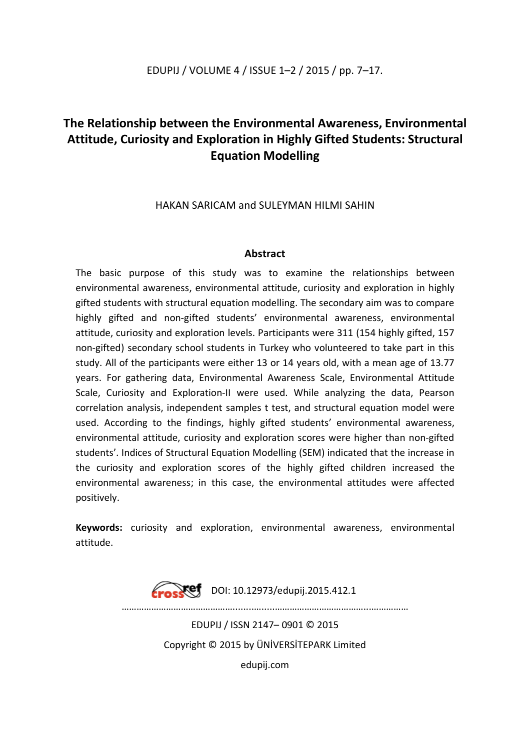### EDUPIJ / VOLUME 4 / ISSUE 1–2 / 2015 / pp. 7–17.

### **The Relationship between the Environmental Awareness, Environmental Attitude, Curiosity and Exploration in Highly Gifted Students: Structural Equation Modelling**

HAKAN SARICAM and SULEYMAN HILMI SAHIN

#### **Abstract**

The basic purpose of this study was to examine the relationships between environmental awareness, environmental attitude, curiosity and exploration in highly gifted students with structural equation modelling. The secondary aim was to compare highly gifted and non-gifted students' environmental awareness, environmental attitude, curiosity and exploration levels. Participants were 311 (154 highly gifted, 157 non-gifted) secondary school students in Turkey who volunteered to take part in this study. All of the participants were either 13 or 14 years old, with a mean age of 13.77 years. For gathering data, Environmental Awareness Scale, Environmental Attitude Scale, Curiosity and Exploration-II were used. While analyzing the data, Pearson correlation analysis, independent samples t test, and structural equation model were used. According to the findings, highly gifted students' environmental awareness, environmental attitude, curiosity and exploration scores were higher than non-gifted students'. Indices of Structural Equation Modelling (SEM) indicated that the increase in the curiosity and exploration scores of the highly gifted children increased the environmental awareness; in this case, the environmental attitudes were affected positively.

**Keywords:** curiosity and exploration, environmental awareness, environmental attitude.

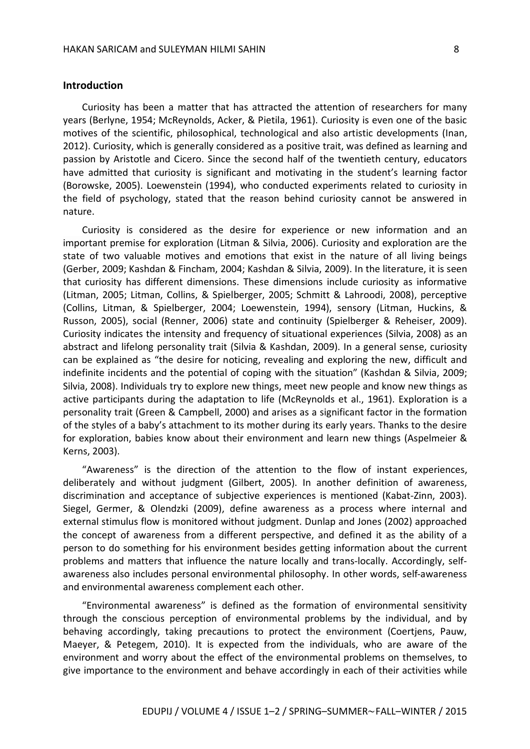#### **Introduction**

Curiosity has been a matter that has attracted the attention of researchers for many years (Berlyne, 1954; McReynolds, Acker, & Pietila, 1961). Curiosity is even one of the basic motives of the scientific, philosophical, technological and also artistic developments (Inan, 2012). Curiosity, which is generally considered as a positive trait, was defined as learning and passion by Aristotle and Cicero. Since the second half of the twentieth century, educators have admitted that curiosity is significant and motivating in the student's learning factor (Borowske, 2005). Loewenstein (1994), who conducted experiments related to curiosity in the field of psychology, stated that the reason behind curiosity cannot be answered in nature.

Curiosity is considered as the desire for experience or new information and an important premise for exploration (Litman & Silvia, 2006). Curiosity and exploration are the state of two valuable motives and emotions that exist in the nature of all living beings (Gerber, 2009; Kashdan & Fincham, 2004; Kashdan & Silvia, 2009). In the literature, it is seen that curiosity has different dimensions. These dimensions include curiosity as informative (Litman, 2005; Litman, Collins, & Spielberger, 2005; Schmitt & Lahroodi, 2008), perceptive (Collins, Litman, & Spielberger, 2004; Loewenstein, 1994), sensory (Litman, Huckins, & Russon, 2005), social (Renner, 2006) state and continuity (Spielberger & Reheiser, 2009). Curiosity indicates the intensity and frequency of situational experiences (Silvia, 2008) as an abstract and lifelong personality trait (Silvia & Kashdan, 2009). In a general sense, curiosity can be explained as "the desire for noticing, revealing and exploring the new, difficult and indefinite incidents and the potential of coping with the situation" (Kashdan & Silvia, 2009; Silvia, 2008). Individuals try to explore new things, meet new people and know new things as active participants during the adaptation to life (McReynolds et al., 1961). Exploration is a personality trait (Green & Campbell, 2000) and arises as a significant factor in the formation of the styles of a baby's attachment to its mother during its early years. Thanks to the desire for exploration, babies know about their environment and learn new things (Aspelmeier & Kerns, 2003).

"Awareness" is the direction of the attention to the flow of instant experiences, deliberately and without judgment (Gilbert, 2005). In another definition of awareness, discrimination and acceptance of subjective experiences is mentioned (Kabat-Zinn, 2003). Siegel, Germer, & Olendzki (2009), define awareness as a process where internal and external stimulus flow is monitored without judgment. Dunlap and Jones (2002) approached the concept of awareness from a different perspective, and defined it as the ability of a person to do something for his environment besides getting information about the current problems and matters that influence the nature locally and trans-locally. Accordingly, selfawareness also includes personal environmental philosophy. In other words, self-awareness and environmental awareness complement each other.

"Environmental awareness" is defined as the formation of environmental sensitivity through the conscious perception of environmental problems by the individual, and by behaving accordingly, taking precautions to protect the environment (Coertjens, Pauw, Maeyer, & Petegem, 2010). It is expected from the individuals, who are aware of the environment and worry about the effect of the environmental problems on themselves, to give importance to the environment and behave accordingly in each of their activities while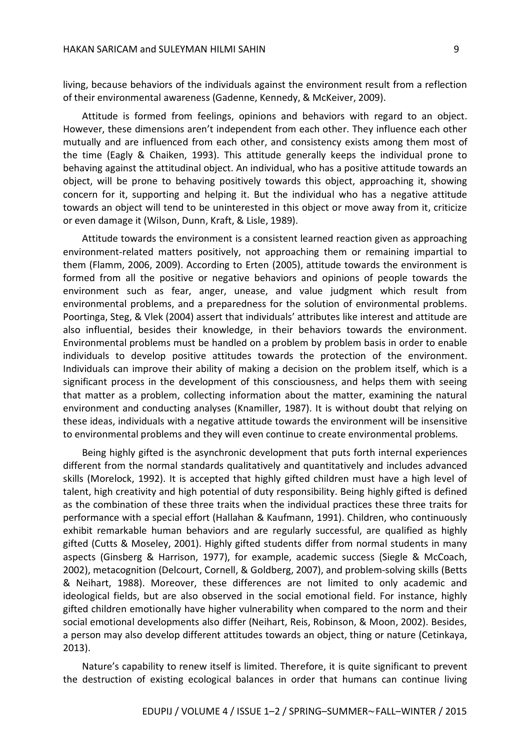living, because behaviors of the individuals against the environment result from a reflection of their environmental awareness (Gadenne, Kennedy, & McKeiver, 2009).

Attitude is formed from feelings, opinions and behaviors with regard to an object. However, these dimensions aren't independent from each other. They influence each other mutually and are influenced from each other, and consistency exists among them most of the time (Eagly & Chaiken, 1993). This attitude generally keeps the individual prone to behaving against the attitudinal object. An individual, who has a positive attitude towards an object, will be prone to behaving positively towards this object, approaching it, showing concern for it, supporting and helping it. But the individual who has a negative attitude towards an object will tend to be uninterested in this object or move away from it, criticize or even damage it (Wilson, Dunn, Kraft, & Lisle, 1989).

Attitude towards the environment is a consistent learned reaction given as approaching environment-related matters positively, not approaching them or remaining impartial to them (Flamm, 2006, 2009). According to Erten (2005), attitude towards the environment is formed from all the positive or negative behaviors and opinions of people towards the environment such as fear, anger, unease, and value judgment which result from environmental problems, and a preparedness for the solution of environmental problems. Poortinga, Steg, & Vlek (2004) assert that individuals' attributes like interest and attitude are also influential, besides their knowledge, in their behaviors towards the environment. Environmental problems must be handled on a problem by problem basis in order to enable individuals to develop positive attitudes towards the protection of the environment. Individuals can improve their ability of making a decision on the problem itself, which is a significant process in the development of this consciousness, and helps them with seeing that matter as a problem, collecting information about the matter, examining the natural environment and conducting analyses (Knamiller, 1987). It is without doubt that relying on these ideas, individuals with a negative attitude towards the environment will be insensitive to environmental problems and they will even continue to create environmental problems.

Being highly gifted is the asynchronic development that puts forth internal experiences different from the normal standards qualitatively and quantitatively and includes advanced skills (Morelock, 1992). It is accepted that highly gifted children must have a high level of talent, high creativity and high potential of duty responsibility. Being highly gifted is defined as the combination of these three traits when the individual practices these three traits for performance with a special effort (Hallahan & Kaufmann, 1991). Children, who continuously exhibit remarkable human behaviors and are regularly successful, are qualified as highly gifted (Cutts & Moseley, 2001). Highly gifted students differ from normal students in many aspects (Ginsberg & Harrison, 1977), for example, academic success (Siegle & McCoach, 2002), metacognition (Delcourt, Cornell, & Goldberg, 2007), and problem-solving skills (Betts & Neihart, 1988). Moreover, these differences are not limited to only academic and ideological fields, but are also observed in the social emotional field. For instance, highly gifted children emotionally have higher vulnerability when compared to the norm and their social emotional developments also differ (Neihart, Reis, Robinson, & Moon, 2002). Besides, a person may also develop different attitudes towards an object, thing or nature (Cetinkaya, 2013).

Nature's capability to renew itself is limited. Therefore, it is quite significant to prevent the destruction of existing ecological balances in order that humans can continue living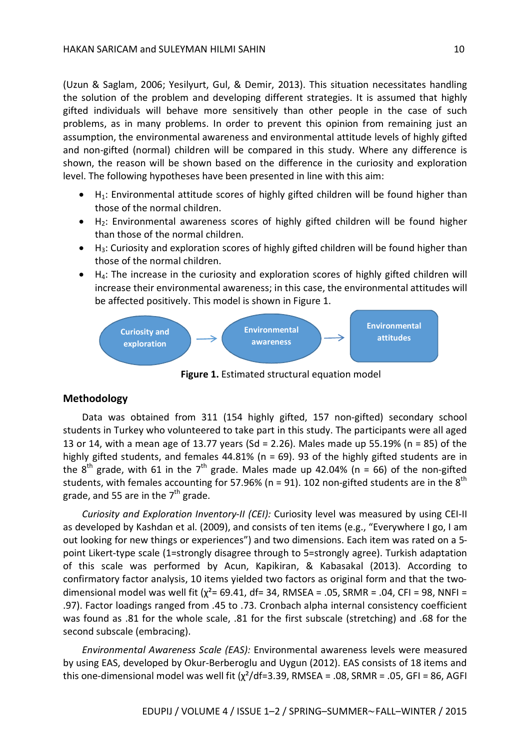(Uzun & Saglam, 2006; Yesilyurt, Gul, & Demir, 2013). This situation necessitates handling the solution of the problem and developing different strategies. It is assumed that highly gifted individuals will behave more sensitively than other people in the case of such problems, as in many problems. In order to prevent this opinion from remaining just an assumption, the environmental awareness and environmental attitude levels of highly gifted and non-gifted (normal) children will be compared in this study. Where any difference is shown, the reason will be shown based on the difference in the curiosity and exploration level. The following hypotheses have been presented in line with this aim:

- $\bullet$  H<sub>1</sub>: Environmental attitude scores of highly gifted children will be found higher than those of the normal children.
- $\bullet$  H<sub>2</sub>: Environmental awareness scores of highly gifted children will be found higher than those of the normal children.
- $H_3$ : Curiosity and exploration scores of highly gifted children will be found higher than those of the normal children.
- $\bullet$  H<sub>4</sub>: The increase in the curiosity and exploration scores of highly gifted children will increase their environmental awareness; in this case, the environmental attitudes will be affected positively. This model is shown in Figure 1.



**Figure 1.** Estimated structural equation model

#### **Methodology**

Data was obtained from 311 (154 highly gifted, 157 non-gifted) secondary school students in Turkey who volunteered to take part in this study. The participants were all aged 13 or 14, with a mean age of 13.77 years (Sd = 2.26). Males made up 55.19% (n = 85) of the highly gifted students, and females 44.81% (n = 69). 93 of the highly gifted students are in the  $8^{th}$  grade, with 61 in the 7<sup>th</sup> grade. Males made up 42.04% (n = 66) of the non-gifted students, with females accounting for 57.96% (n = 91). 102 non-gifted students are in the  $8^{\text{th}}$ grade, and 55 are in the 7<sup>th</sup> grade.

*Curiosity and Exploration Inventory-II (CEI):* Curiosity level was measured by using CEI-II as developed by Kashdan et al. (2009), and consists of ten items (e.g., "Everywhere I go, I am out looking for new things or experiences") and two dimensions. Each item was rated on a 5 point Likert-type scale (1=strongly disagree through to 5=strongly agree). Turkish adaptation of this scale was performed by Acun, Kapikiran, & Kabasakal (2013). According to confirmatory factor analysis, 10 items yielded two factors as original form and that the twodimensional model was well fit ( $\chi^2$ = 69.41, df= 34, RMSEA = .05, SRMR = .04, CFI = 98, NNFI = .97). Factor loadings ranged from .45 to .73. Cronbach alpha internal consistency coefficient was found as .81 for the whole scale, .81 for the first subscale (stretching) and .68 for the second subscale (embracing).

*Environmental Awareness Scale (EAS):* Environmental awareness levels were measured by using EAS, developed by Okur-Berberoglu and Uygun (2012). EAS consists of 18 items and this one-dimensional model was well fit ( $\chi^2$ /df=3.39, RMSEA = .08, SRMR = .05, GFI = 86, AGFI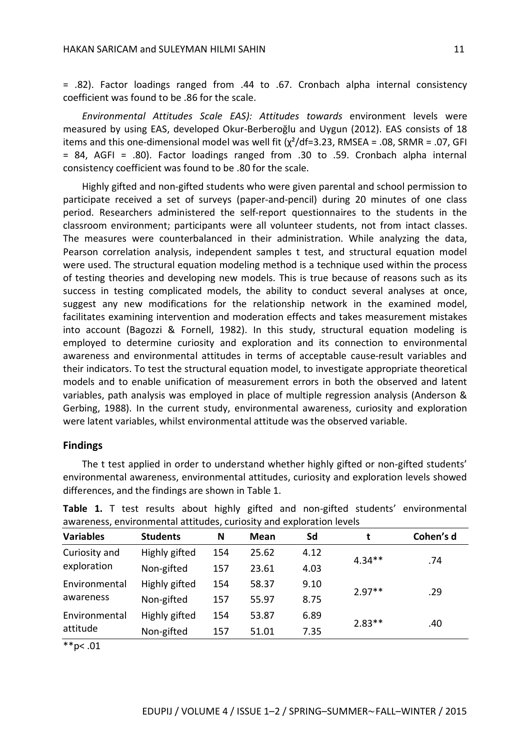= .82). Factor loadings ranged from .44 to .67. Cronbach alpha internal consistency coefficient was found to be .86 for the scale.

*Environmental Attitudes Scale EAS): Attitudes towards* environment levels were measured by using EAS, developed Okur-Berberoğlu and Uygun (2012). EAS consists of 18 items and this one-dimensional model was well fit  $(\chi^2/df=3.23, RMSEA = .08, SRMR = .07, GFI)$ = 84, AGFI = .80). Factor loadings ranged from .30 to .59. Cronbach alpha internal consistency coefficient was found to be .80 for the scale.

Highly gifted and non-gifted students who were given parental and school permission to participate received a set of surveys (paper-and-pencil) during 20 minutes of one class period. Researchers administered the self-report questionnaires to the students in the classroom environment; participants were all volunteer students, not from intact classes. The measures were counterbalanced in their administration. While analyzing the data, Pearson correlation analysis, independent samples t test, and structural equation model were used. The structural equation modeling method is a technique used within the process of testing theories and developing new models. This is true because of reasons such as its success in testing complicated models, the ability to conduct several analyses at once, suggest any new modifications for the relationship network in the examined model, facilitates examining intervention and moderation effects and takes measurement mistakes into account (Bagozzi & Fornell, 1982). In this study, structural equation modeling is employed to determine curiosity and exploration and its connection to environmental awareness and environmental attitudes in terms of acceptable cause-result variables and their indicators. To test the structural equation model, to investigate appropriate theoretical models and to enable unification of measurement errors in both the observed and latent variables, path analysis was employed in place of multiple regression analysis (Anderson & Gerbing, 1988). In the current study, environmental awareness, curiosity and exploration were latent variables, whilst environmental attitude was the observed variable.

#### **Findings**

The t test applied in order to understand whether highly gifted or non-gifted students' environmental awareness, environmental attitudes, curiosity and exploration levels showed differences, and the findings are shown in Table 1.

| <b>Variables</b>             | <b>Students</b> | N   | Mean  | Sd   | t        | Cohen's d |
|------------------------------|-----------------|-----|-------|------|----------|-----------|
| Curiosity and<br>exploration | Highly gifted   | 154 | 25.62 | 4.12 | $4.34**$ | .74       |
|                              | Non-gifted      | 157 | 23.61 | 4.03 |          |           |
| Environmental<br>awareness   | Highly gifted   | 154 | 58.37 | 9.10 |          | .29       |
|                              | Non-gifted      | 157 | 55.97 | 8.75 | $2.97**$ |           |
| Environmental<br>attitude    | Highly gifted   | 154 | 53.87 | 6.89 | $2.83**$ | .40       |
|                              | Non-gifted      | 157 | 51.01 | 7.35 |          |           |

**Table 1.** T test results about highly gifted and non-gifted students' environmental awareness, environmental attitudes, curiosity and exploration levels

 $*$  $p$  < .01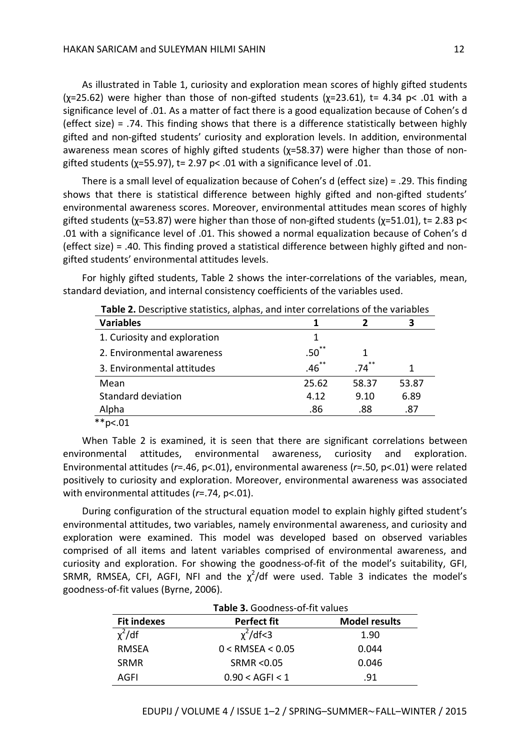As illustrated in Table 1, curiosity and exploration mean scores of highly gifted students  $(x=25.62)$  were higher than those of non-gifted students  $(x=23.61)$ , t= 4.34 p< .01 with a significance level of .01. As a matter of fact there is a good equalization because of Cohen's d (effect size) = .74. This finding shows that there is a difference statistically between highly gifted and non-gifted students' curiosity and exploration levels. In addition, environmental awareness mean scores of highly gifted students (χ=58.37) were higher than those of nongifted students ( $\chi$ =55.97), t= 2.97 p< .01 with a significance level of .01.

There is a small level of equalization because of Cohen's d (effect size) = .29. This finding shows that there is statistical difference between highly gifted and non-gifted students' environmental awareness scores. Moreover, environmental attitudes mean scores of highly gifted students ( $x=53.87$ ) were higher than those of non-gifted students ( $x=51.01$ ), t= 2.83 p< .01 with a significance level of .01. This showed a normal equalization because of Cohen's d (effect size) = .40. This finding proved a statistical difference between highly gifted and nongifted students' environmental attitudes levels.

For highly gifted students, Table 2 shows the inter-correlations of the variables, mean, standard deviation, and internal consistency coefficients of the variables used.

| <b>Table 2.</b> Descriptive statistics, alphas, and inter correlations of the variables |                  |       |       |  |
|-----------------------------------------------------------------------------------------|------------------|-------|-------|--|
| <b>Variables</b>                                                                        |                  |       |       |  |
| 1. Curiosity and exploration                                                            | 1                |       |       |  |
| 2. Environmental awareness                                                              | .50 <sup>°</sup> |       |       |  |
| 3. Environmental attitudes                                                              | $.46$ **         | .74   |       |  |
| Mean                                                                                    | 25.62            | 58.37 | 53.87 |  |
| Standard deviation                                                                      | 4.12             | 9.10  | 6.89  |  |
| Alpha                                                                                   | .86              | .88   | .87   |  |
| $*$ <sub>p</sub> $< 01$                                                                 |                  |       |       |  |

**Table 2.** Descriptive statistics, alphas, and inter correlations of the variables

When Table 2 is examined, it is seen that there are significant correlations between environmental attitudes, environmental awareness, curiosity and exploration. Environmental attitudes (*r*=.46, p<.01), environmental awareness (*r*=.50, p<.01) were related positively to curiosity and exploration. Moreover, environmental awareness was associated with environmental attitudes (*r*=.74, p<.01).

During configuration of the structural equation model to explain highly gifted student's environmental attitudes, two variables, namely environmental awareness, and curiosity and exploration were examined. This model was developed based on observed variables comprised of all items and latent variables comprised of environmental awareness, and curiosity and exploration. For showing the goodness-of-fit of the model's suitability, GFI, SRMR, RMSEA, CFI, AGFI, NFI and the  $\chi^2$ /df were used. Table 3 indicates the model's goodness-of-fit values (Byrne, 2006).

| Table 3. Goodness-of-fit values |                      |                      |  |  |  |
|---------------------------------|----------------------|----------------------|--|--|--|
| <b>Fit indexes</b>              | <b>Perfect fit</b>   | <b>Model results</b> |  |  |  |
| $x^2$ /df                       | $\chi^2$ /df<3       | 1.90                 |  |  |  |
| <b>RMSEA</b>                    | $0 <$ RMSEA $< 0.05$ | 0.044                |  |  |  |
| <b>SRMR</b>                     | SRMR < 0.05          | 0.046                |  |  |  |
| AGFI                            | 0.90 < AGFI < 1      | .91                  |  |  |  |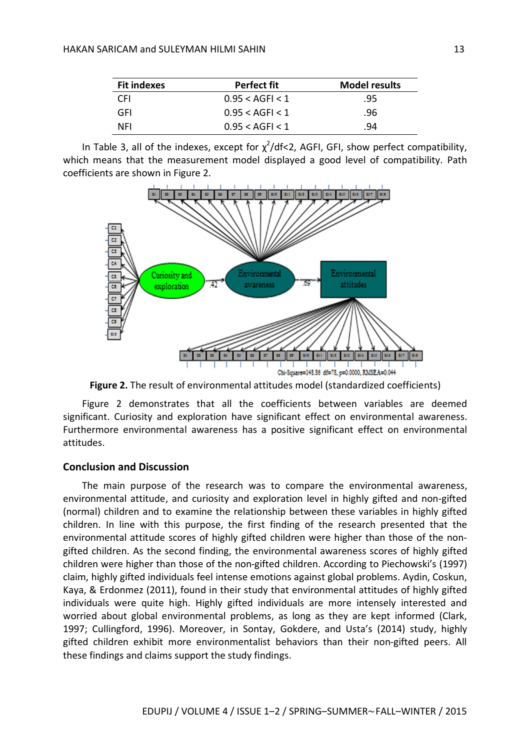| <b>Fit indexes</b> | Perfect fit          | <b>Model results</b> |
|--------------------|----------------------|----------------------|
| CFI                | 0.95 < AGFI < 1      | .95                  |
| GFI                | $0.95 < A$ GFI $< 1$ | .96                  |
| NFI                | $0.95 < A$ GFI $< 1$ | .94                  |

In Table 3, all of the indexes, except for  $\chi^2$ /df<2, AGFI, GFI, show perfect compatibility, which means that the measurement model displayed a good level of compatibility. Path coefficients are shown in Figure 2.



**Figure 2.** The result of environmental attitudes model (standardized coefficients)

Figure 2 demonstrates that all the coefficients between variables are deemed significant. Curiosity and exploration have significant effect on environmental awareness. Furthermore environmental awareness has a positive significant effect on environmental attitudes.

#### **Conclusion and Discussion**

The main purpose of the research was to compare the environmental awareness, environmental attitude, and curiosity and exploration level in highly gifted and non-gifted (normal) children and to examine the relationship between these variables in highly gifted children. In line with this purpose, the first finding of the research presented that the environmental attitude scores of highly gifted children were higher than those of the nongifted children. As the second finding, the environmental awareness scores of highly gifted children were higher than those of the non-gifted children. According to Piechowski's (1997) claim, highly gifted individuals feel intense emotions against global problems. Aydin, Coskun, Kaya, & Erdonmez (2011), found in their study that environmental attitudes of highly gifted individuals were quite high. Highly gifted individuals are more intensely interested and worried about global environmental problems, as long as they are kept informed (Clark, 1997; Cullingford, 1996). Moreover, in Sontay, Gokdere, and Usta's (2014) study, highly gifted children exhibit more environmentalist behaviors than their non-gifted peers. All these findings and claims support the study findings.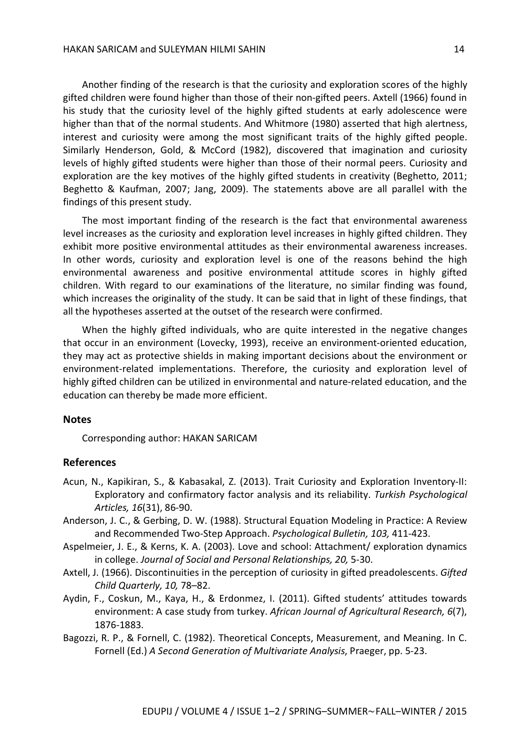Another finding of the research is that the curiosity and exploration scores of the highly gifted children were found higher than those of their non-gifted peers. Axtell (1966) found in his study that the curiosity level of the highly gifted students at early adolescence were higher than that of the normal students. And Whitmore (1980) asserted that high alertness, interest and curiosity were among the most significant traits of the highly gifted people. Similarly Henderson, Gold, & McCord (1982), discovered that imagination and curiosity levels of highly gifted students were higher than those of their normal peers. Curiosity and exploration are the key motives of the highly gifted students in creativity (Beghetto, 2011; Beghetto & Kaufman, 2007; Jang, 2009). The statements above are all parallel with the findings of this present study.

The most important finding of the research is the fact that environmental awareness level increases as the curiosity and exploration level increases in highly gifted children. They exhibit more positive environmental attitudes as their environmental awareness increases. In other words, curiosity and exploration level is one of the reasons behind the high environmental awareness and positive environmental attitude scores in highly gifted children. With regard to our examinations of the literature, no similar finding was found, which increases the originality of the study. It can be said that in light of these findings, that all the hypotheses asserted at the outset of the research were confirmed.

When the highly gifted individuals, who are quite interested in the negative changes that occur in an environment (Lovecky, 1993), receive an environment-oriented education, they may act as protective shields in making important decisions about the environment or environment-related implementations. Therefore, the curiosity and exploration level of highly gifted children can be utilized in environmental and nature-related education, and the education can thereby be made more efficient.

#### **Notes**

Corresponding author: HAKAN SARICAM

#### **References**

- Acun, N., Kapikiran, S., & Kabasakal, Z. (2013). Trait Curiosity and Exploration Inventory-II: Exploratory and confirmatory factor analysis and its reliability. *Turkish Psychological Articles, 16*(31), 86-90.
- Anderson, J. C., & Gerbing, D. W. (1988). Structural Equation Modeling in Practice: A Review and Recommended Two-Step Approach. *Psychological Bulletin, 103,* 411-423.
- Aspelmeier, J. E., & Kerns, K. A. (2003). Love and school: Attachment/ exploration dynamics in college. *Journal of Social and Personal Relationships, 20,* 5-30.
- Axtell, J. (1966). Discontinuities in the perception of curiosity in gifted preadolescents. *Gifted Child Quarterly, 10,* 78–82.
- Aydin, F., Coskun, M., Kaya, H., & Erdonmez, I. (2011). Gifted students' attitudes towards environment: A case study from turkey. *African Journal of Agricultural Research, 6*(7), 1876-1883.
- Bagozzi, R. P., & Fornell, C. (1982). Theoretical Concepts, Measurement, and Meaning. In C. Fornell (Ed.) *A Second Generation of Multivariate Analysis*, Praeger, pp. 5-23.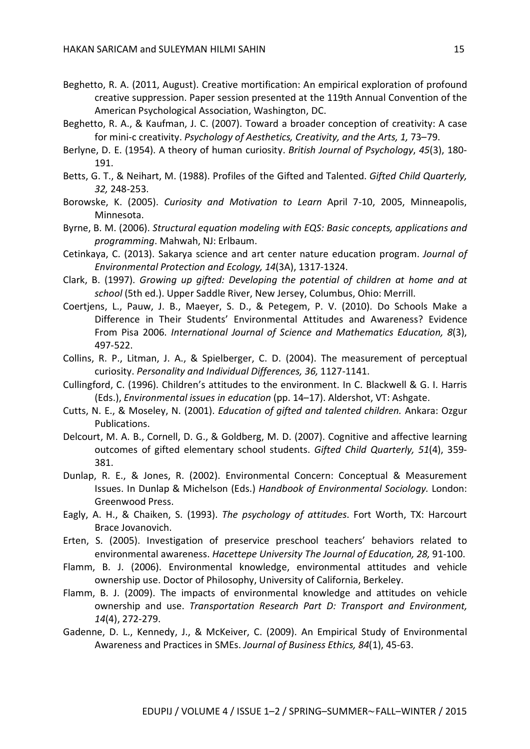- Beghetto, R. A. (2011, August). Creative mortification: An empirical exploration of profound creative suppression. Paper session presented at the 119th Annual Convention of the American Psychological Association, Washington, DC.
- Beghetto, R. A., & Kaufman, J. C. (2007). Toward a broader conception of creativity: A case for mini-c creativity. *Psychology of Aesthetics, Creativity, and the Arts, 1,* 73–79.
- Berlyne, D. E. (1954). A theory of human curiosity. *British Journal of Psychology*, *45*(3), 180- 191.
- Betts, G. T., & Neihart, M. (1988). Profiles of the Gifted and Talented. *Gifted Child Quarterly, 32,* 248-253.
- Borowske, K. (2005). *Curiosity and Motivation to Learn* April 7-10, 2005, Minneapolis, Minnesota.
- Byrne, B. M. (2006). *Structural equation modeling with EQS: Basic concepts, applications and programming*. Mahwah, NJ: Erlbaum.
- Cetinkaya, C. (2013). Sakarya science and art center nature education program. *Journal of Environmental Protection and Ecology, 14*(3A), 1317-1324.
- Clark, B. (1997). *Growing up gifted: Developing the potential of children at home and at school* (5th ed.). Upper Saddle River, New Jersey, Columbus, Ohio: Merrill.
- Coertjens, L., Pauw, J. B., Maeyer, S. D., & Petegem, P. V. (2010). Do Schools Make a Difference in Their Students' Environmental Attitudes and Awareness? Evidence From Pisa 2006. *International Journal of Science and Mathematics Education, 8*(3), 497-522.
- Collins, R. P., Litman, J. A., & Spielberger, C. D. (2004). The measurement of perceptual curiosity. *Personality and Individual Differences, 36,* 1127-1141.
- Cullingford, C. (1996). Children's attitudes to the environment. In C. Blackwell & G. I. Harris (Eds.), *Environmental issues in education* (pp. 14–17). Aldershot, VT: Ashgate.
- Cutts, N. E., & Moseley, N. (2001). *Education of gifted and talented children.* Ankara: Ozgur Publications.
- Delcourt, M. A. B., Cornell, D. G., & Goldberg, M. D. (2007). Cognitive and affective learning outcomes of gifted elementary school students. *Gifted Child Quarterly, 51*(4), 359- 381.
- Dunlap, R. E., & Jones, R. (2002). Environmental Concern: Conceptual & Measurement Issues. In Dunlap & Michelson (Eds.) *Handbook of Environmental Sociology.* London: Greenwood Press.
- Eagly, A. H., & Chaiken, S. (1993). *The psychology of attitudes*. Fort Worth, TX: Harcourt Brace Jovanovich.
- Erten, S. (2005). Investigation of preservice preschool teachers' behaviors related to environmental awareness. *Hacettepe University The Journal of Education, 28,* 91-100.
- Flamm, B. J. (2006). Environmental knowledge, environmental attitudes and vehicle ownership use. Doctor of Philosophy, University of California, Berkeley.
- Flamm, B. J. (2009). The impacts of environmental knowledge and attitudes on vehicle ownership and use. *Transportation Research Part D: Transport and Environment, 14*(4), 272-279.
- Gadenne, D. L., Kennedy, J., & McKeiver, C. (2009). An Empirical Study of Environmental Awareness and Practices in SMEs. *Journal of Business Ethics, 84*(1), 45-63.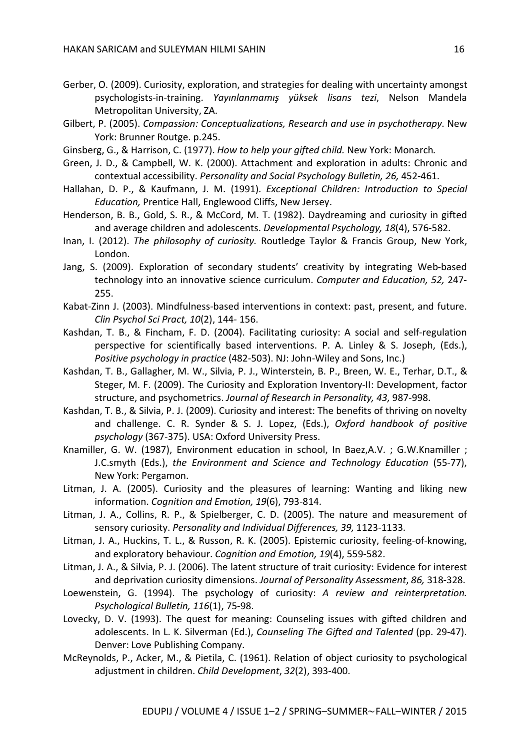- Gerber, O. (2009). Curiosity, exploration, and strategies for dealing with uncertainty amongst psychologists-in-training. *Yayınlanmamış yüksek lisans tezi*, Nelson Mandela Metropolitan University, ZA.
- Gilbert, P. (2005). *Compassion: Conceptualizations, Research and use in psychotherapy*. New York: Brunner Routge. p.245.
- Ginsberg, G., & Harrison, C. (1977). *How to help your gifted child.* New York: Monarch*.*
- Green, J. D., & Campbell, W. K. (2000). Attachment and exploration in adults: Chronic and contextual accessibility. *Personality and Social Psychology Bulletin, 26,* 452-461.
- Hallahan, D. P., & Kaufmann, J. M. (1991). *Exceptional Children: Introduction to Special Education,* Prentice Hall, Englewood Cliffs, New Jersey.
- Henderson, B. B., Gold, S. R., & McCord, M. T. (1982). Daydreaming and curiosity in gifted and average children and adolescents. *Developmental Psychology, 18*(4), 576-582.
- Inan, I. (2012). *The philosophy of curiosity.* Routledge Taylor & Francis Group, New York, London.
- Jang, S. (2009). Exploration of secondary students' creativity by integrating Web-based technology into an innovative science curriculum. *Computer and Education, 52,* 247- 255.
- Kabat-Zinn J. (2003). Mindfulness-based interventions in context: past, present, and future. *Clin Psychol Sci Pract, 10*(2), 144- 156.
- Kashdan, T. B., & Fincham, F. D. (2004). Facilitating curiosity: A social and self-regulation perspective for scientifically based interventions. P. A. Linley & S. Joseph, (Eds.), *Positive psychology in practice* (482-503). NJ: John-Wiley and Sons, Inc.)
- Kashdan, T. B., Gallagher, M. W., Silvia, P. J., Winterstein, B. P., Breen, W. E., Terhar, D.T., & Steger, M. F. (2009). The Curiosity and Exploration Inventory-II: Development, factor structure, and psychometrics. *Journal of Research in Personality, 43,* 987-998.
- Kashdan, T. B., & Silvia, P. J. (2009). Curiosity and interest: The benefits of thriving on novelty and challenge. C. R. Synder & S. J. Lopez, (Eds.), *Oxford handbook of positive psychology* (367-375). USA: Oxford University Press.
- Knamiller, G. W. (1987), Environment education in school, In Baez,A.V. ; G.W.Knamiller ; J.C.smyth (Eds.), *the Environment and Science and Technology Education* (55-77), New York: Pergamon.
- Litman, J. A. (2005). Curiosity and the pleasures of learning: Wanting and liking new information. *Cognition and Emotion, 19*(6), 793-814.
- Litman, J. A., Collins, R. P., & Spielberger, C. D. (2005). The nature and measurement of sensory curiosity. *Personality and Individual Differences, 39,* 1123-1133.
- Litman, J. A., Huckins, T. L., & Russon, R. K. (2005). Epistemic curiosity, feeling-of-knowing, and exploratory behaviour. *Cognition and Emotion, 19*(4), 559-582.
- Litman, J. A., & Silvia, P. J. (2006). The latent structure of trait curiosity: Evidence for interest and deprivation curiosity dimensions. *Journal of Personality Assessment*, *86,* 318-328.
- Loewenstein, G. (1994). The psychology of curiosity: *A review and reinterpretation. Psychological Bulletin, 116*(1), 75-98.
- Lovecky, D. V. (1993). The quest for meaning: Counseling issues with gifted children and adolescents. In L. K. Silverman (Ed.), *Counseling The Gifted and Talented* (pp. 29-47). Denver: Love Publishing Company.
- McReynolds, P., Acker, M., & Pietila, C. (1961). Relation of object curiosity to psychological adjustment in children. *Child Development*, *32*(2), 393-400.